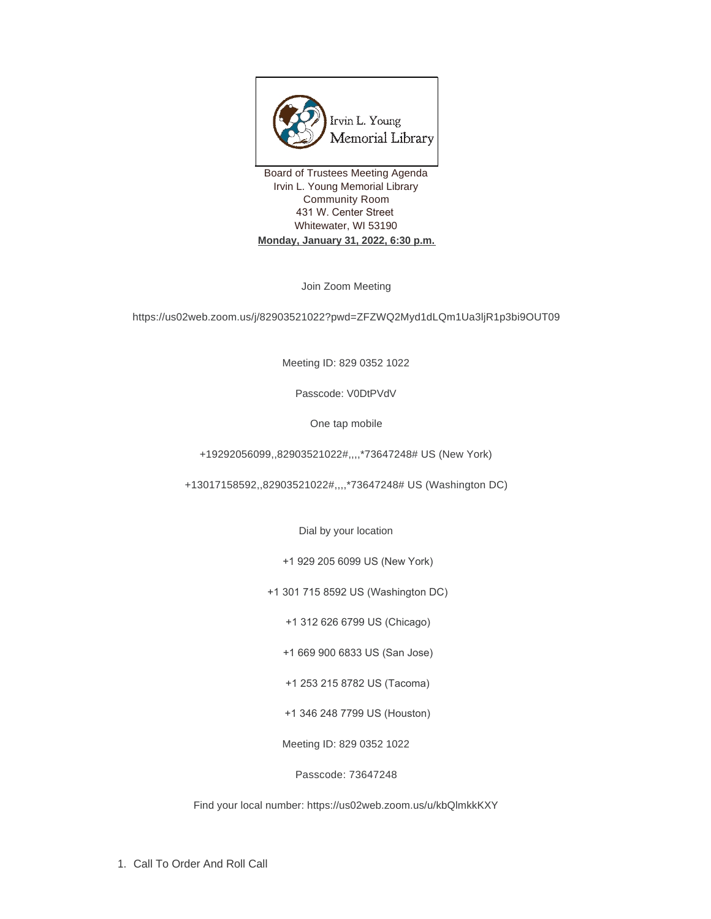

Board of Trustees Meeting Agenda Irvin L. Young Memorial Library Community Room 431 W. Center Street Whitewater, WI 53190 **Monday, January 31, 2022, 6:30 p.m.**

Join Zoom Meeting

https://us02web.zoom.us/j/82903521022?pwd=ZFZWQ2Myd1dLQm1Ua3ljR1p3bi9OUT09

Meeting ID: 829 0352 1022

Passcode: V0DtPVdV

One tap mobile

+19292056099,,82903521022#,,,,\*73647248# US (New York)

+13017158592,,82903521022#,,,,\*73647248# US (Washington DC)

Dial by your location

+1 929 205 6099 US (New York)

+1 301 715 8592 US (Washington DC)

+1 312 626 6799 US (Chicago)

+1 669 900 6833 US (San Jose)

+1 253 215 8782 US (Tacoma)

+1 346 248 7799 US (Houston)

Meeting ID: 829 0352 1022

Passcode: 73647248

Find your local number: https://us02web.zoom.us/u/kbQlmkkKXY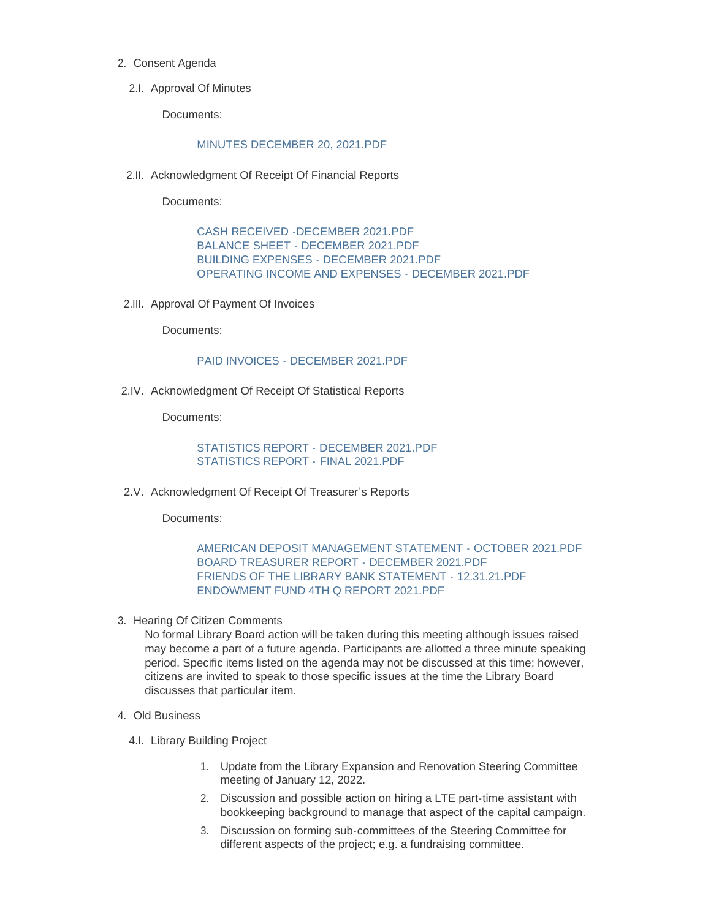- 2. Consent Agenda
	- 2.I. Approval Of Minutes

Documents:

#### [MINUTES DECEMBER 20, 2021.PDF](https://www.whitewater-wi.gov/AgendaCenter/ViewFile/Item/5250?fileID=24323)

2.II. Acknowledgment Of Receipt Of Financial Reports

Documents:

[CASH RECEIVED -DECEMBER 2021.PDF](https://www.whitewater-wi.gov/AgendaCenter/ViewFile/Item/5269?fileID=24375) [BALANCE SHEET - DECEMBER 2021.PDF](https://www.whitewater-wi.gov/AgendaCenter/ViewFile/Item/5269?fileID=24376) [BUILDING EXPENSES - DECEMBER 2021.PDF](https://www.whitewater-wi.gov/AgendaCenter/ViewFile/Item/5269?fileID=24377) [OPERATING INCOME AND EXPENSES - DECEMBER 2021.PDF](https://www.whitewater-wi.gov/AgendaCenter/ViewFile/Item/5269?fileID=24378)

2.III. Approval Of Payment Of Invoices

Documents:

## [PAID INVOICES - DECEMBER 2021.PDF](https://www.whitewater-wi.gov/AgendaCenter/ViewFile/Item/5252?fileID=24325)

2.IV. Acknowledgment Of Receipt Of Statistical Reports

Documents:

[STATISTICS REPORT - DECEMBER 2021.PDF](https://www.whitewater-wi.gov/AgendaCenter/ViewFile/Item/5253?fileID=24326) [STATISTICS REPORT -](https://www.whitewater-wi.gov/AgendaCenter/ViewFile/Item/5253?fileID=24327) FINAL 2021.PDF

2.V. Acknowledgment Of Receipt Of Treasurer's Reports

Documents:

# [AMERICAN DEPOSIT MANAGEMENT STATEMENT -](https://www.whitewater-wi.gov/AgendaCenter/ViewFile/Item/5258?fileID=24332) OCTOBER 2021.PDF [BOARD TREASURER REPORT -](https://www.whitewater-wi.gov/AgendaCenter/ViewFile/Item/5258?fileID=24333) DECEMBER 2021.PDF [FRIENDS OF THE LIBRARY BANK STATEMENT -](https://www.whitewater-wi.gov/AgendaCenter/ViewFile/Item/5258?fileID=24334) 12.31.21.PDF [ENDOWMENT FUND 4TH Q REPORT 2021.PDF](https://www.whitewater-wi.gov/AgendaCenter/ViewFile/Item/5258?fileID=24335)

3. Hearing Of Citizen Comments

No formal Library Board action will be taken during this meeting although issues raised may become a part of a future agenda. Participants are allotted a three minute speaking period. Specific items listed on the agenda may not be discussed at this time; however, citizens are invited to speak to those specific issues at the time the Library Board discusses that particular item.

#### Old Business 4.

- 4.I. Library Building Project
	- 1. Update from the Library Expansion and Renovation Steering Committee meeting of January 12, 2022.
	- 2. Discussion and possible action on hiring a LTE part-time assistant with bookkeeping background to manage that aspect of the capital campaign.
	- 3. Discussion on forming sub-committees of the Steering Committee for different aspects of the project; e.g. a fundraising committee.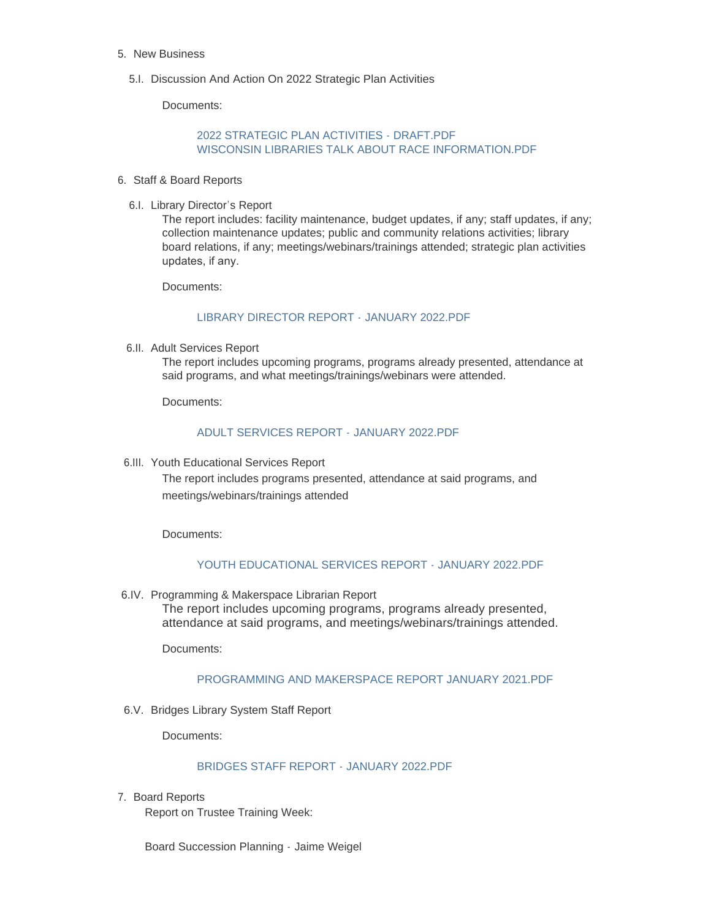- 5. New Business
	- 5.I. Discussion And Action On 2022 Strategic Plan Activities

Documents:

# [2022 STRATEGIC PLAN ACTIVITIES - DRAFT.PDF](https://www.whitewater-wi.gov/AgendaCenter/ViewFile/Item/5207?fileID=24474) [WISCONSIN LIBRARIES TALK ABOUT RACE INFORMATION.PDF](https://www.whitewater-wi.gov/AgendaCenter/ViewFile/Item/5207?fileID=18662)

- 6. Staff & Board Reports
	- 6.I. Library Director's Report

The report includes: facility maintenance, budget updates, if any; staff updates, if any; collection maintenance updates; public and community relations activities; library board relations, if any; meetings/webinars/trainings attended; strategic plan activities updates, if any.

Documents:

## [LIBRARY DIRECTOR REPORT -](https://www.whitewater-wi.gov/AgendaCenter/ViewFile/Item/5266?fileID=24339) JANUARY 2022.PDF

6.II. Adult Services Report

The report includes upcoming programs, programs already presented, attendance at said programs, and what meetings/trainings/webinars were attended.

Documents:

## [ADULT SERVICES REPORT -](https://www.whitewater-wi.gov/AgendaCenter/ViewFile/Item/5255?fileID=24328) JANUARY 2022.PDF

6.III. Youth Educational Services Report

The report includes programs presented, attendance at said programs, and meetings/webinars/trainings attended

Documents:

## [YOUTH EDUCATIONAL SERVICES REPORT - JANUARY 2022.PDF](https://www.whitewater-wi.gov/AgendaCenter/ViewFile/Item/5256?fileID=24329)

6.IV. Programming & Makerspace Librarian Report The report includes upcoming programs, programs already presented, attendance at said programs, and meetings/webinars/trainings attended.

Documents:

# PROGRAMMING AND MAKERSPACE REPORT JANUARY 2021 PDF

6.V. Bridges Library System Staff Report

Documents:

## [BRIDGES STAFF REPORT - JANUARY 2022.PDF](https://www.whitewater-wi.gov/AgendaCenter/ViewFile/Item/5259?fileID=24336)

7. Board Reports

Report on Trustee Training Week:

Board Succession Planning - Jaime Weigel